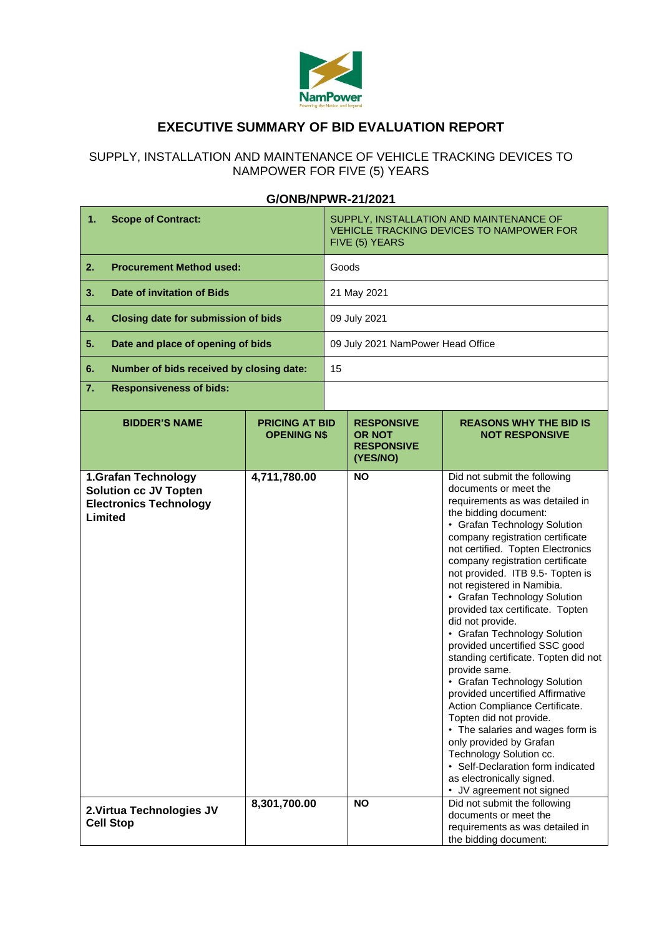

# **EXECUTIVE SUMMARY OF BID EVALUATION REPORT**

### SUPPLY, INSTALLATION AND MAINTENANCE OF VEHICLE TRACKING DEVICES TO NAMPOWER FOR FIVE (5) YEARS

## **G/ONB/NPWR-21/2021**

| 1.<br><b>Scope of Contract:</b>                                                                 |                                             | SUPPLY, INSTALLATION AND MAINTENANCE OF<br>VEHICLE TRACKING DEVICES TO NAMPOWER FOR<br>FIVE (5) YEARS |                                                                     |                                                                                                                                                                                                                                                                                                                                                                                                                                                                                                                                                                                                                                                                                                                                                                                                                                                                                                              |  |  |
|-------------------------------------------------------------------------------------------------|---------------------------------------------|-------------------------------------------------------------------------------------------------------|---------------------------------------------------------------------|--------------------------------------------------------------------------------------------------------------------------------------------------------------------------------------------------------------------------------------------------------------------------------------------------------------------------------------------------------------------------------------------------------------------------------------------------------------------------------------------------------------------------------------------------------------------------------------------------------------------------------------------------------------------------------------------------------------------------------------------------------------------------------------------------------------------------------------------------------------------------------------------------------------|--|--|
| 2.<br><b>Procurement Method used:</b>                                                           |                                             |                                                                                                       | Goods                                                               |                                                                                                                                                                                                                                                                                                                                                                                                                                                                                                                                                                                                                                                                                                                                                                                                                                                                                                              |  |  |
| <b>Date of invitation of Bids</b><br>3.                                                         |                                             |                                                                                                       | 21 May 2021                                                         |                                                                                                                                                                                                                                                                                                                                                                                                                                                                                                                                                                                                                                                                                                                                                                                                                                                                                                              |  |  |
| 4.<br><b>Closing date for submission of bids</b>                                                |                                             | 09 July 2021                                                                                          |                                                                     |                                                                                                                                                                                                                                                                                                                                                                                                                                                                                                                                                                                                                                                                                                                                                                                                                                                                                                              |  |  |
| 5.<br>Date and place of opening of bids                                                         |                                             | 09 July 2021 NamPower Head Office                                                                     |                                                                     |                                                                                                                                                                                                                                                                                                                                                                                                                                                                                                                                                                                                                                                                                                                                                                                                                                                                                                              |  |  |
| 6.<br>Number of bids received by closing date:                                                  |                                             | 15                                                                                                    |                                                                     |                                                                                                                                                                                                                                                                                                                                                                                                                                                                                                                                                                                                                                                                                                                                                                                                                                                                                                              |  |  |
| 7.<br><b>Responsiveness of bids:</b>                                                            |                                             |                                                                                                       |                                                                     |                                                                                                                                                                                                                                                                                                                                                                                                                                                                                                                                                                                                                                                                                                                                                                                                                                                                                                              |  |  |
| <b>BIDDER'S NAME</b>                                                                            | <b>PRICING AT BID</b><br><b>OPENING N\$</b> |                                                                                                       | <b>RESPONSIVE</b><br><b>OR NOT</b><br><b>RESPONSIVE</b><br>(YES/NO) | <b>REASONS WHY THE BID IS</b><br><b>NOT RESPONSIVE</b>                                                                                                                                                                                                                                                                                                                                                                                                                                                                                                                                                                                                                                                                                                                                                                                                                                                       |  |  |
| 1.Grafan Technology<br><b>Solution cc JV Topten</b><br><b>Electronics Technology</b><br>Limited | 4,711,780.00                                |                                                                                                       | <b>NO</b>                                                           | Did not submit the following<br>documents or meet the<br>requirements as was detailed in<br>the bidding document:<br>• Grafan Technology Solution<br>company registration certificate<br>not certified. Topten Electronics<br>company registration certificate<br>not provided. ITB 9.5- Topten is<br>not registered in Namibia.<br>• Grafan Technology Solution<br>provided tax certificate. Topten<br>did not provide.<br>• Grafan Technology Solution<br>provided uncertified SSC good<br>standing certificate. Topten did not<br>provide same.<br>• Grafan Technology Solution<br>provided uncertified Affirmative<br>Action Compliance Certificate.<br>Topten did not provide.<br>• The salaries and wages form is<br>only provided by Grafan<br>Technology Solution cc.<br>• Self-Declaration form indicated<br>as electronically signed.<br>• JV agreement not signed<br>Did not submit the following |  |  |
| 2. Virtua Technologies JV<br><b>Cell Stop</b>                                                   | 8,301,700.00                                |                                                                                                       | <b>NO</b>                                                           | documents or meet the<br>requirements as was detailed in<br>the bidding document:                                                                                                                                                                                                                                                                                                                                                                                                                                                                                                                                                                                                                                                                                                                                                                                                                            |  |  |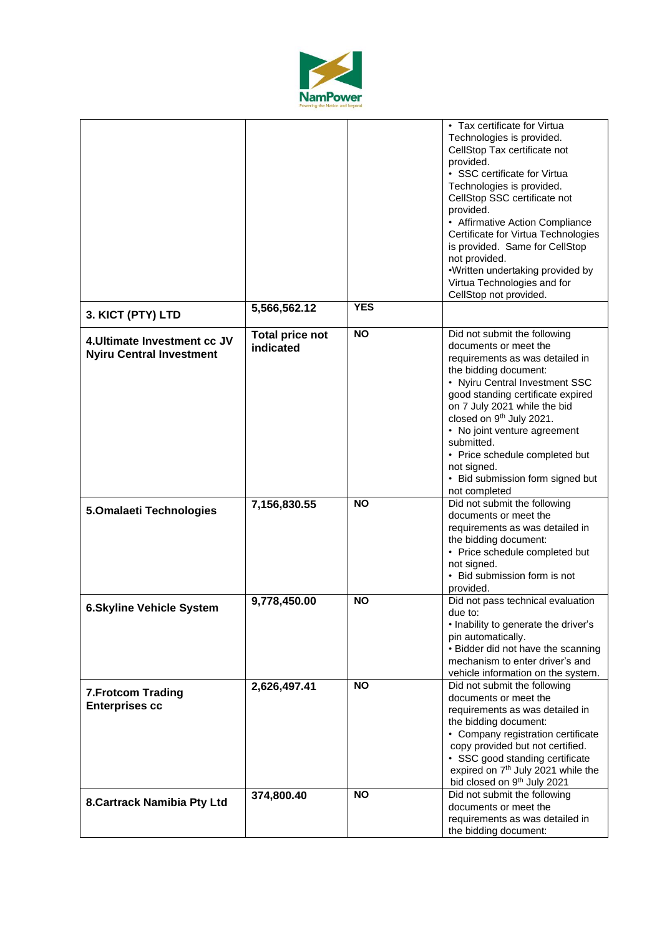

|                                                                 |                                     |            | • Tax certificate for Virtua<br>Technologies is provided.<br>CellStop Tax certificate not<br>provided.<br>• SSC certificate for Virtua                                                                                                                                                                                                                                                                               |
|-----------------------------------------------------------------|-------------------------------------|------------|----------------------------------------------------------------------------------------------------------------------------------------------------------------------------------------------------------------------------------------------------------------------------------------------------------------------------------------------------------------------------------------------------------------------|
|                                                                 |                                     |            | Technologies is provided.<br>CellStop SSC certificate not<br>provided.                                                                                                                                                                                                                                                                                                                                               |
|                                                                 |                                     |            | • Affirmative Action Compliance<br>Certificate for Virtua Technologies<br>is provided. Same for CellStop                                                                                                                                                                                                                                                                                                             |
|                                                                 |                                     |            | not provided.<br>•Written undertaking provided by<br>Virtua Technologies and for<br>CellStop not provided.                                                                                                                                                                                                                                                                                                           |
| 3. KICT (PTY) LTD                                               | 5,566,562.12                        | <b>YES</b> |                                                                                                                                                                                                                                                                                                                                                                                                                      |
| 4. Ultimate Investment cc JV<br><b>Nyiru Central Investment</b> | <b>Total price not</b><br>indicated | <b>NO</b>  | Did not submit the following<br>documents or meet the<br>requirements as was detailed in<br>the bidding document:<br>• Nyiru Central Investment SSC<br>good standing certificate expired<br>on 7 July 2021 while the bid<br>closed on 9 <sup>th</sup> July 2021.<br>• No joint venture agreement<br>submitted.<br>• Price schedule completed but<br>not signed.<br>• Bid submission form signed but<br>not completed |
| 5.Omalaeti Technologies                                         | 7,156,830.55                        | <b>NO</b>  | Did not submit the following<br>documents or meet the<br>requirements as was detailed in<br>the bidding document:<br>• Price schedule completed but<br>not signed.<br>• Bid submission form is not<br>provided.                                                                                                                                                                                                      |
| <b>6.Skyline Vehicle System</b>                                 | 9,778,450.00                        | <b>NO</b>  | Did not pass technical evaluation<br>due to:<br>• Inability to generate the driver's<br>pin automatically.<br>• Bidder did not have the scanning<br>mechanism to enter driver's and<br>vehicle information on the system.                                                                                                                                                                                            |
| <b>7. Frotcom Trading</b><br><b>Enterprises cc</b>              | 2,626,497.41                        | <b>NO</b>  | Did not submit the following<br>documents or meet the<br>requirements as was detailed in<br>the bidding document:<br>• Company registration certificate<br>copy provided but not certified.<br>• SSC good standing certificate<br>expired on 7 <sup>th</sup> July 2021 while the<br>bid closed on 9th July 2021                                                                                                      |
| 8. Cartrack Namibia Pty Ltd                                     | 374,800.40                          | <b>NO</b>  | Did not submit the following<br>documents or meet the<br>requirements as was detailed in<br>the bidding document:                                                                                                                                                                                                                                                                                                    |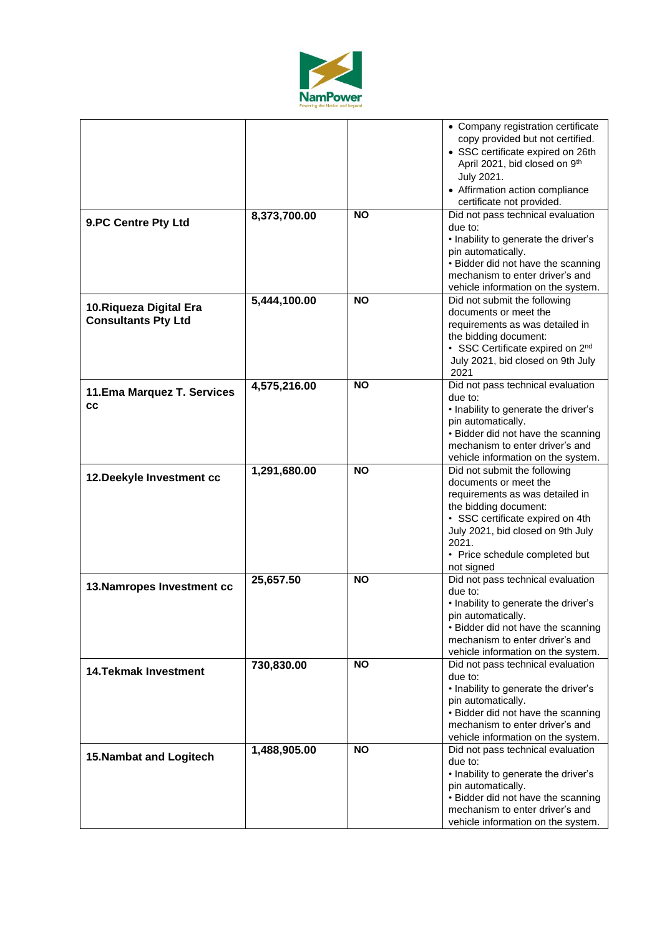

| 9.PC Centre Pty Ltd                                   | 8,373,700.00 | <b>NO</b> | • Company registration certificate<br>copy provided but not certified.<br>• SSC certificate expired on 26th<br>April 2021, bid closed on 9th<br>July 2021.<br>• Affirmation action compliance<br>certificate not provided.<br>Did not pass technical evaluation<br>due to:<br>• Inability to generate the driver's |  |  |
|-------------------------------------------------------|--------------|-----------|--------------------------------------------------------------------------------------------------------------------------------------------------------------------------------------------------------------------------------------------------------------------------------------------------------------------|--|--|
|                                                       |              |           | pin automatically.<br>• Bidder did not have the scanning<br>mechanism to enter driver's and<br>vehicle information on the system.                                                                                                                                                                                  |  |  |
| 10. Riqueza Digital Era<br><b>Consultants Pty Ltd</b> | 5,444,100.00 | <b>NO</b> | Did not submit the following<br>documents or meet the<br>requirements as was detailed in<br>the bidding document:<br>• SSC Certificate expired on 2nd<br>July 2021, bid closed on 9th July<br>2021                                                                                                                 |  |  |
| 11. Ema Marquez T. Services<br>CC                     | 4,575,216.00 | <b>NO</b> | Did not pass technical evaluation<br>due to:<br>• Inability to generate the driver's<br>pin automatically.<br>• Bidder did not have the scanning<br>mechanism to enter driver's and<br>vehicle information on the system.                                                                                          |  |  |
| 12. Deekyle Investment cc                             | 1,291,680.00 | <b>NO</b> | Did not submit the following<br>documents or meet the<br>requirements as was detailed in<br>the bidding document:<br>• SSC certificate expired on 4th<br>July 2021, bid closed on 9th July<br>2021.<br>• Price schedule completed but<br>not signed                                                                |  |  |
| 13. Namropes Investment cc                            | 25,657.50    | <b>NO</b> | Did not pass technical evaluation<br>due to:<br>• Inability to generate the driver's<br>pin automatically.<br>• Bidder did not have the scanning<br>mechanism to enter driver's and<br>vehicle information on the system.                                                                                          |  |  |
| <b>14. Tekmak Investment</b>                          | 730,830.00   | <b>NO</b> | Did not pass technical evaluation<br>due to:<br>• Inability to generate the driver's<br>pin automatically.<br>• Bidder did not have the scanning<br>mechanism to enter driver's and<br>vehicle information on the system.                                                                                          |  |  |
| <b>15. Nambat and Logitech</b>                        | 1,488,905.00 | <b>NO</b> | Did not pass technical evaluation<br>due to:<br>• Inability to generate the driver's<br>pin automatically.<br>• Bidder did not have the scanning<br>mechanism to enter driver's and<br>vehicle information on the system.                                                                                          |  |  |